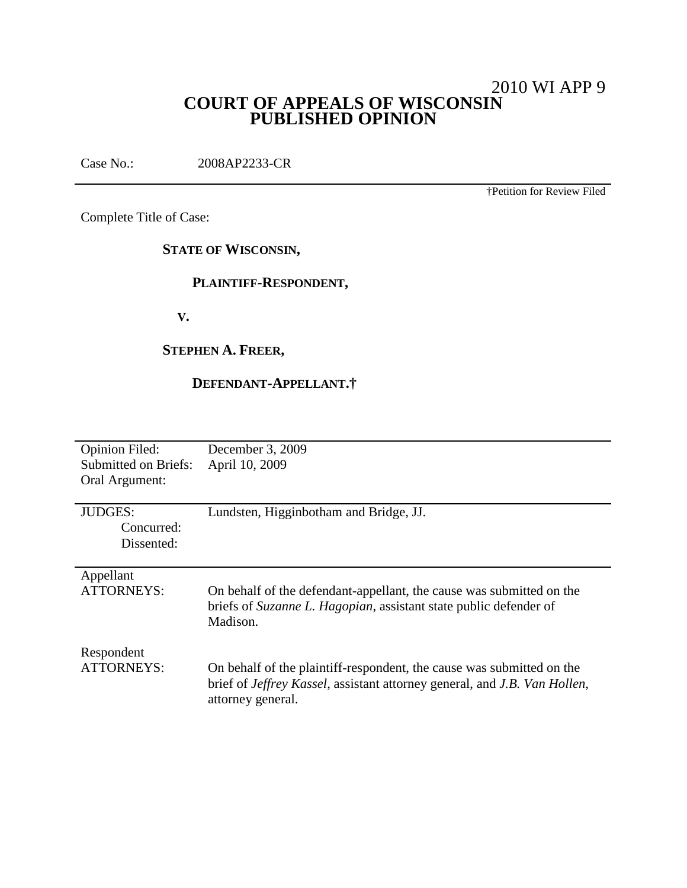# 2010 WI APP 9 **COURT OF APPEALS OF WISCONSIN PUBLISHED OPINION**

Case No.: 2008AP2233-CR

†Petition for Review Filed

Complete Title of Case:

**STATE OF WISCONSIN,**

### **PLAINTIFF-RESPONDENT,**

**V.**

# **STEPHEN A. FREER,**

# **DEFENDANT-APPELLANT.†**

| <b>Opinion Filed:</b> | December 3, 2009                                                                          |
|-----------------------|-------------------------------------------------------------------------------------------|
| Submitted on Briefs:  | April 10, 2009                                                                            |
| Oral Argument:        |                                                                                           |
|                       |                                                                                           |
|                       |                                                                                           |
| JUDGES:               | Lundsten, Higginbotham and Bridge, JJ.                                                    |
| Concurred:            |                                                                                           |
| Dissented:            |                                                                                           |
|                       |                                                                                           |
|                       |                                                                                           |
| Appellant             |                                                                                           |
| ATTORNEYS:            | On behalf of the defendant-appellant, the cause was submitted on the                      |
|                       | briefs of Suzanne L. Hagopian, assistant state public defender of                         |
|                       |                                                                                           |
|                       | Madison.                                                                                  |
|                       |                                                                                           |
| Respondent            |                                                                                           |
| <b>ATTORNEYS:</b>     | On behalf of the plaintiff-respondent, the cause was submitted on the                     |
|                       |                                                                                           |
|                       | brief of <i>Jeffrey Kassel</i> , assistant attorney general, and <i>J.B. Van Hollen</i> , |
|                       | attorney general.                                                                         |
|                       |                                                                                           |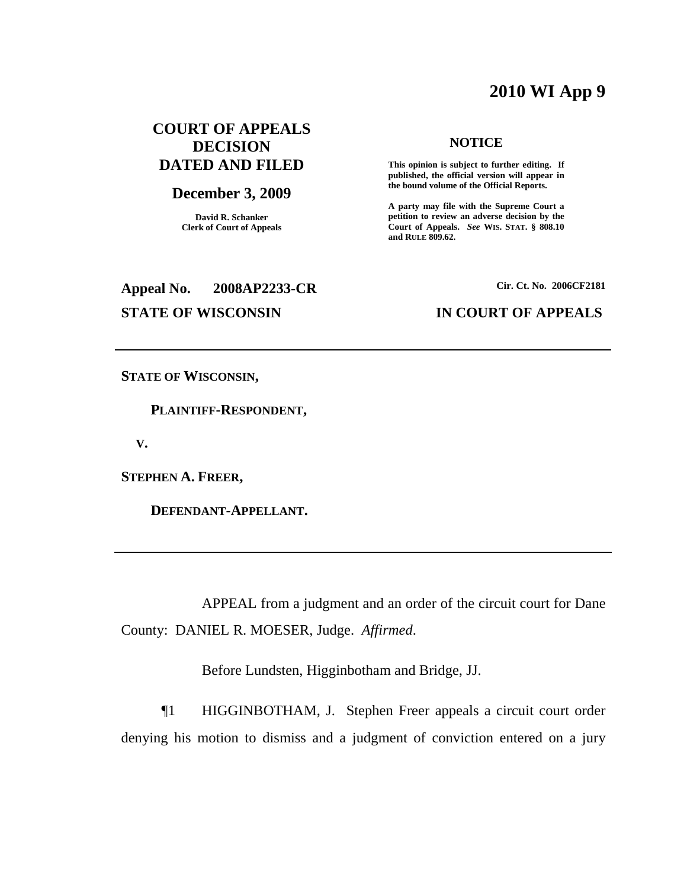# **2010 WI App 9**

## **COURT OF APPEALS DECISION DATED AND FILED**

### **December 3, 2009**

**David R. Schanker Clerk of Court of Appeals**

# **NOTICE**

**This opinion is subject to further editing. If published, the official version will appear in the bound volume of the Official Reports.**

**A party may file with the Supreme Court a petition to review an adverse decision by the Court of Appeals.** *See* **WIS. STAT. § 808.10 and RULE 809.62.**

**Appeal No. 2008AP2233-CR Cir. Ct. No. 2006CF2181**

### **STATE OF WISCONSIN IN COURT OF APPEALS**

**STATE OF WISCONSIN,**

**PLAINTIFF-RESPONDENT,**

**V.**

**STEPHEN A. FREER,**

**DEFENDANT-APPELLANT.**

APPEAL from a judgment and an order of the circuit court for Dane County: DANIEL R. MOESER, Judge. *Affirmed*.

Before Lundsten, Higginbotham and Bridge, JJ.

¶1 HIGGINBOTHAM, J. Stephen Freer appeals a circuit court order denying his motion to dismiss and a judgment of conviction entered on a jury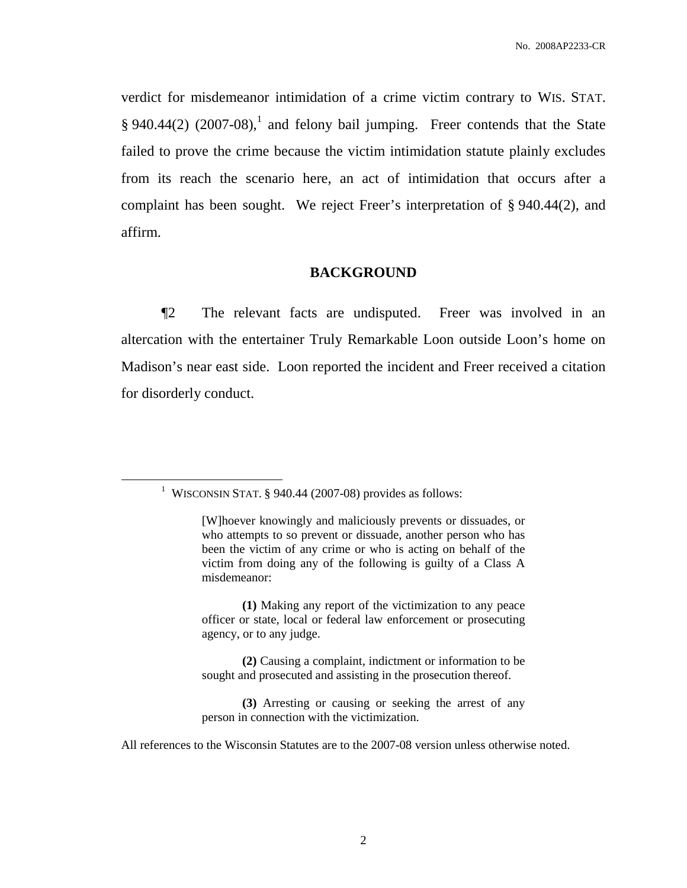verdict for misdemeanor intimidation of a crime victim contrary to WIS. STAT. § 940.44(2)  $(2007-08)$ ,<sup>1</sup> and felony bail jumping. Freer contends that the State failed to prove the crime because the victim intimidation statute plainly excludes from its reach the scenario here, an act of intimidation that occurs after a complaint has been sought. We reject Freer's interpretation of § 940.44(2), and affirm.

### **BACKGROUND**

¶2 The relevant facts are undisputed. Freer was involved in an altercation with the entertainer Truly Remarkable Loon outside Loon's home on Madison's near east side. Loon reported the incident and Freer received a citation for disorderly conduct.

<sup>&</sup>lt;sup>1</sup> WISCONSIN STAT. § 940.44 (2007-08) provides as follows:

<sup>[</sup>W]hoever knowingly and maliciously prevents or dissuades, or who attempts to so prevent or dissuade, another person who has been the victim of any crime or who is acting on behalf of the victim from doing any of the following is guilty of a Class A misdemeanor:

**<sup>(1)</sup>** Making any report of the victimization to any peace officer or state, local or federal law enforcement or prosecuting agency, or to any judge.

**<sup>(2)</sup>** Causing a complaint, indictment or information to be sought and prosecuted and assisting in the prosecution thereof.

**<sup>(3)</sup>** Arresting or causing or seeking the arrest of any person in connection with the victimization.

All references to the Wisconsin Statutes are to the 2007-08 version unless otherwise noted.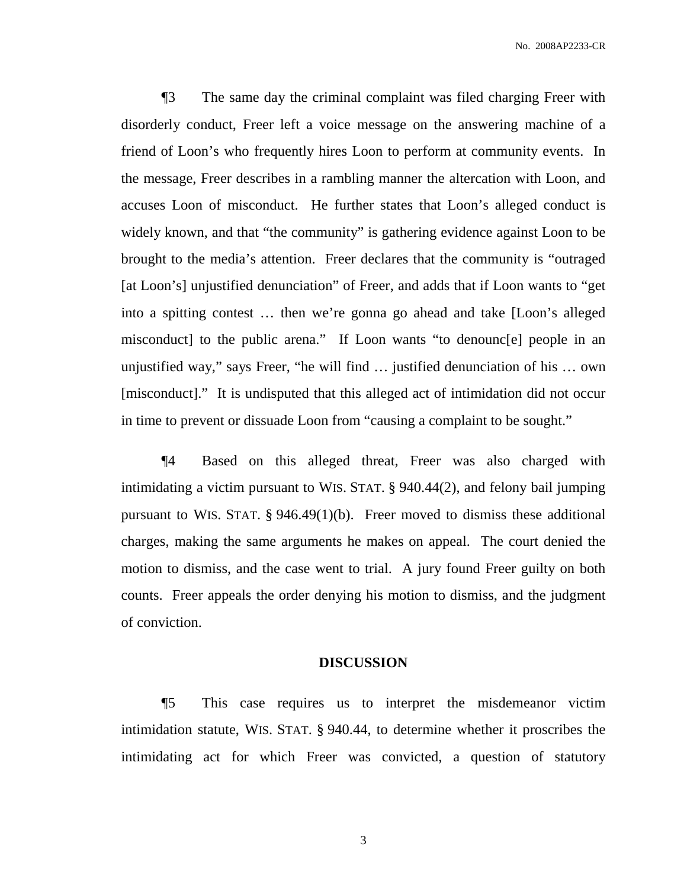No. 2008AP2233-CR

¶3 The same day the criminal complaint was filed charging Freer with disorderly conduct, Freer left a voice message on the answering machine of a friend of Loon's who frequently hires Loon to perform at community events. In the message, Freer describes in a rambling manner the altercation with Loon, and accuses Loon of misconduct. He further states that Loon's alleged conduct is widely known, and that "the community" is gathering evidence against Loon to be brought to the media's attention. Freer declares that the community is "outraged [at Loon's] unjustified denunciation" of Freer, and adds that if Loon wants to "get into a spitting contest … then we're gonna go ahead and take [Loon's alleged misconduct] to the public arena." If Loon wants "to denounce people in an unjustified way," says Freer, "he will find … justified denunciation of his … own [misconduct]." It is undisputed that this alleged act of intimidation did not occur in time to prevent or dissuade Loon from "causing a complaint to be sought."

¶4 Based on this alleged threat, Freer was also charged with intimidating a victim pursuant to WIS. STAT. § 940.44(2), and felony bail jumping pursuant to WIS. STAT. § 946.49(1)(b). Freer moved to dismiss these additional charges, making the same arguments he makes on appeal. The court denied the motion to dismiss, and the case went to trial. A jury found Freer guilty on both counts. Freer appeals the order denying his motion to dismiss, and the judgment of conviction.

### **DISCUSSION**

¶5 This case requires us to interpret the misdemeanor victim intimidation statute, WIS. STAT. § 940.44, to determine whether it proscribes the intimidating act for which Freer was convicted, a question of statutory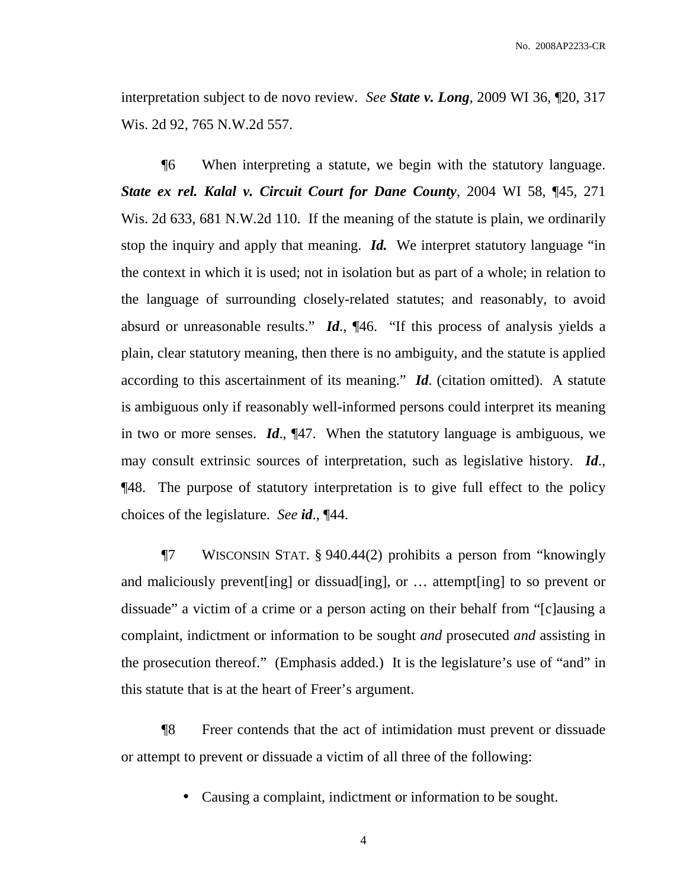interpretation subject to de novo review. *See State v. Long*, 2009 WI 36, ¶20, 317 Wis. 2d 92, 765 N.W.2d 557.

¶6 When interpreting a statute, we begin with the statutory language. *State ex rel. Kalal v. Circuit Court for Dane County*, 2004 WI 58, ¶45, 271 Wis. 2d 633, 681 N.W.2d 110. If the meaning of the statute is plain, we ordinarily stop the inquiry and apply that meaning. *Id.* We interpret statutory language "in the context in which it is used; not in isolation but as part of a whole; in relation to the language of surrounding closely-related statutes; and reasonably, to avoid absurd or unreasonable results." *Id*., ¶46. "If this process of analysis yields a plain, clear statutory meaning, then there is no ambiguity, and the statute is applied according to this ascertainment of its meaning." *Id*. (citation omitted). A statute is ambiguous only if reasonably well-informed persons could interpret its meaning in two or more senses. *Id*., ¶47. When the statutory language is ambiguous, we may consult extrinsic sources of interpretation, such as legislative history. *Id*., ¶48. The purpose of statutory interpretation is to give full effect to the policy choices of the legislature. *See id*., ¶44.

¶7 WISCONSIN STAT. § 940.44(2) prohibits a person from "knowingly and maliciously prevent[ing] or dissuad[ing], or … attempt[ing] to so prevent or dissuade" a victim of a crime or a person acting on their behalf from "[c]ausing a complaint, indictment or information to be sought *and* prosecuted *and* assisting in the prosecution thereof." (Emphasis added.) It is the legislature's use of "and" in this statute that is at the heart of Freer's argument.

¶8 Freer contends that the act of intimidation must prevent or dissuade or attempt to prevent or dissuade a victim of all three of the following:

• Causing a complaint, indictment or information to be sought.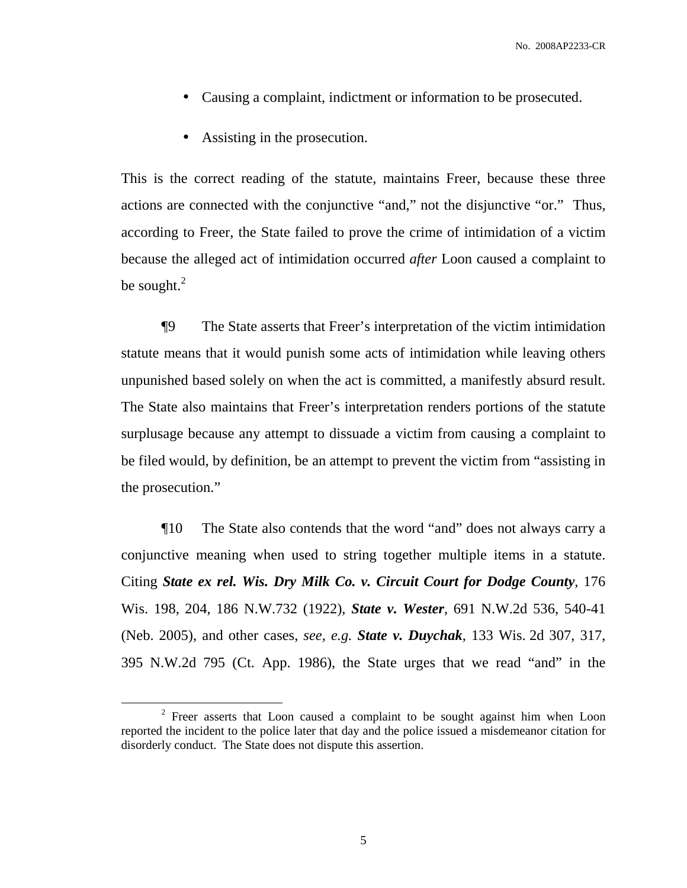- Causing a complaint, indictment or information to be prosecuted.
- Assisting in the prosecution.

This is the correct reading of the statute, maintains Freer, because these three actions are connected with the conjunctive "and," not the disjunctive "or." Thus, according to Freer, the State failed to prove the crime of intimidation of a victim because the alleged act of intimidation occurred *after* Loon caused a complaint to be sought. $^{2}$ 

¶9 The State asserts that Freer's interpretation of the victim intimidation statute means that it would punish some acts of intimidation while leaving others unpunished based solely on when the act is committed, a manifestly absurd result. The State also maintains that Freer's interpretation renders portions of the statute surplusage because any attempt to dissuade a victim from causing a complaint to be filed would, by definition, be an attempt to prevent the victim from "assisting in the prosecution."

¶10 The State also contends that the word "and" does not always carry a conjunctive meaning when used to string together multiple items in a statute. Citing *State ex rel. Wis. Dry Milk Co. v. Circuit Court for Dodge County*, 176 Wis. 198, 204, 186 N.W.732 (1922), *State v. Wester*, 691 N.W.2d 536, 540-41 (Neb. 2005), and other cases, *see, e.g. State v. Duychak*, 133 Wis. 2d 307, 317, 395 N.W.2d 795 (Ct. App. 1986), the State urges that we read "and" in the

 $2$  Freer asserts that Loon caused a complaint to be sought against him when Loon reported the incident to the police later that day and the police issued a misdemeanor citation for disorderly conduct. The State does not dispute this assertion.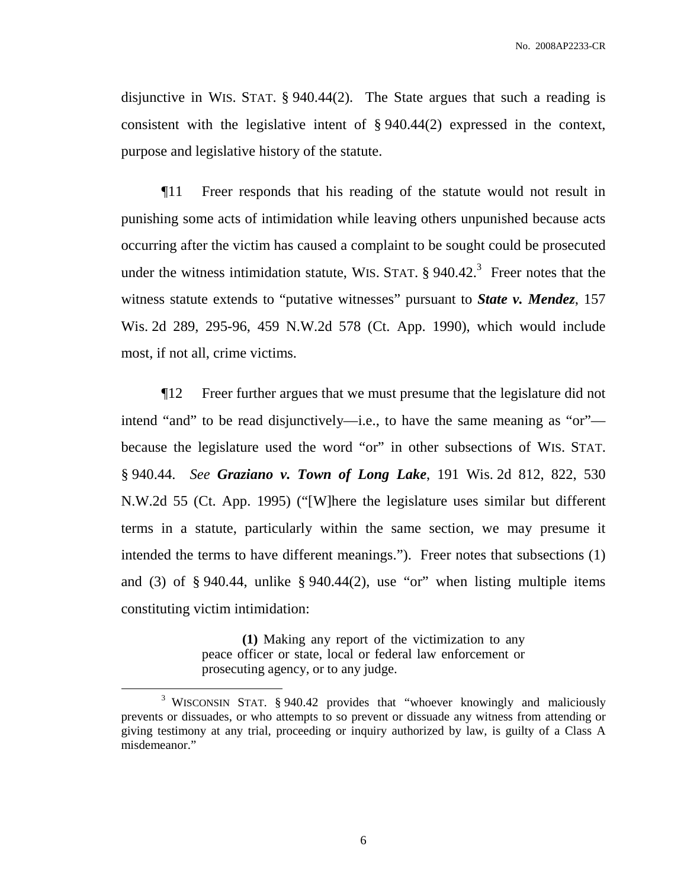disjunctive in WIS. STAT. § 940.44(2). The State argues that such a reading is consistent with the legislative intent of § 940.44(2) expressed in the context, purpose and legislative history of the statute.

¶11 Freer responds that his reading of the statute would not result in punishing some acts of intimidation while leaving others unpunished because acts occurring after the victim has caused a complaint to be sought could be prosecuted under the witness intimidation statute, WIS. STAT.  $\S$  940.42.<sup>3</sup> Freer notes that the witness statute extends to "putative witnesses" pursuant to *State v. Mendez*, 157 Wis. 2d 289, 295-96, 459 N.W.2d 578 (Ct. App. 1990), which would include most, if not all, crime victims.

¶12 Freer further argues that we must presume that the legislature did not intend "and" to be read disjunctively—i.e., to have the same meaning as "or" because the legislature used the word "or" in other subsections of WIS. STAT. § 940.44. *See Graziano v. Town of Long Lake*, 191 Wis. 2d 812, 822, 530 N.W.2d 55 (Ct. App. 1995) ("[W]here the legislature uses similar but different terms in a statute, particularly within the same section, we may presume it intended the terms to have different meanings."). Freer notes that subsections (1) and (3) of  $\S 940.44$ , unlike  $\S 940.44(2)$ , use "or" when listing multiple items constituting victim intimidation:

> **(1)** Making any report of the victimization to any peace officer or state, local or federal law enforcement or prosecuting agency, or to any judge.

<sup>&</sup>lt;sup>3</sup> WISCONSIN STAT. § 940.42 provides that "whoever knowingly and maliciously prevents or dissuades, or who attempts to so prevent or dissuade any witness from attending or giving testimony at any trial, proceeding or inquiry authorized by law, is guilty of a Class A misdemeanor."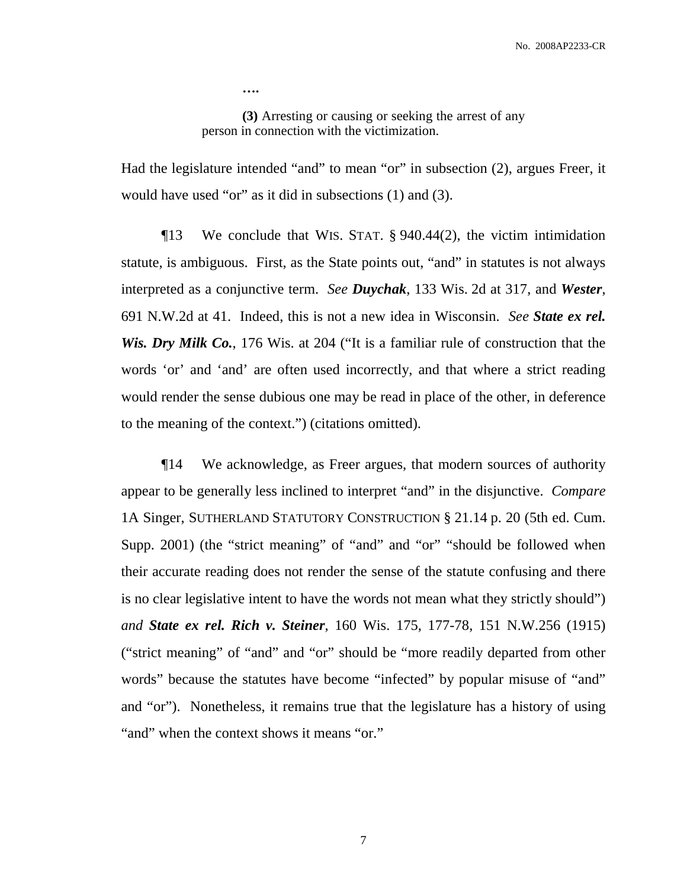**(3)** Arresting or causing or seeking the arrest of any person in connection with the victimization.

**….**

Had the legislature intended "and" to mean "or" in subsection (2), argues Freer, it would have used "or" as it did in subsections (1) and (3).

¶13 We conclude that WIS. STAT. § 940.44(2), the victim intimidation statute, is ambiguous. First, as the State points out, "and" in statutes is not always interpreted as a conjunctive term. *See Duychak*, 133 Wis. 2d at 317, and *Wester*, 691 N.W.2d at 41. Indeed, this is not a new idea in Wisconsin. *See State ex rel. Wis. Dry Milk Co.*, 176 Wis. at 204 ("It is a familiar rule of construction that the words 'or' and 'and' are often used incorrectly, and that where a strict reading would render the sense dubious one may be read in place of the other, in deference to the meaning of the context.") (citations omitted).

¶14 We acknowledge, as Freer argues, that modern sources of authority appear to be generally less inclined to interpret "and" in the disjunctive. *Compare* 1A Singer, SUTHERLAND STATUTORY CONSTRUCTION § 21.14 p. 20 (5th ed. Cum. Supp. 2001) (the "strict meaning" of "and" and "or" "should be followed when their accurate reading does not render the sense of the statute confusing and there is no clear legislative intent to have the words not mean what they strictly should") *and State ex rel. Rich v. Steiner*, 160 Wis. 175, 177-78, 151 N.W.256 (1915) ("strict meaning" of "and" and "or" should be "more readily departed from other words" because the statutes have become "infected" by popular misuse of "and" and "or"). Nonetheless, it remains true that the legislature has a history of using "and" when the context shows it means "or."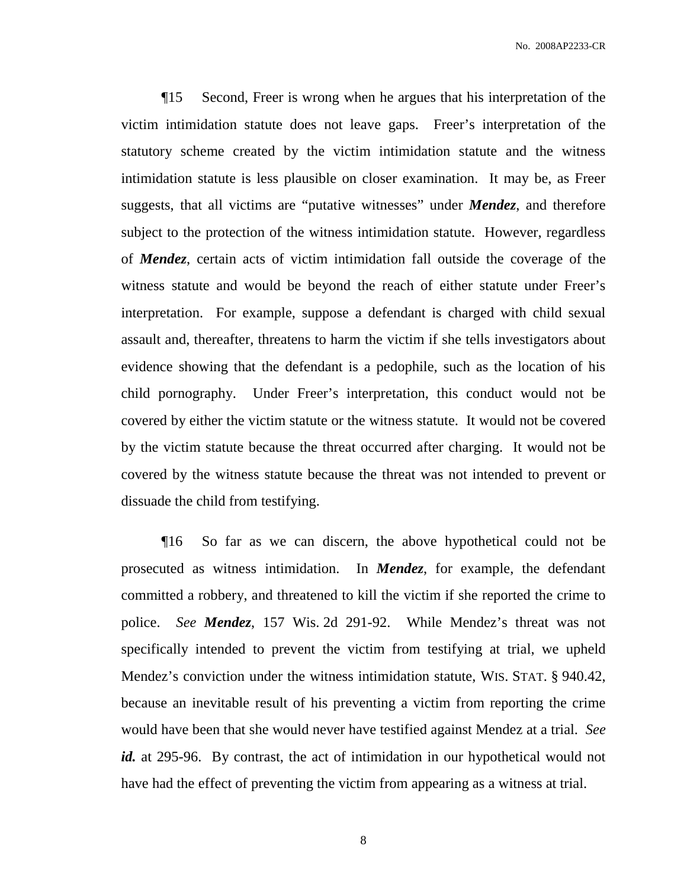¶15 Second, Freer is wrong when he argues that his interpretation of the victim intimidation statute does not leave gaps. Freer's interpretation of the statutory scheme created by the victim intimidation statute and the witness intimidation statute is less plausible on closer examination. It may be, as Freer suggests, that all victims are "putative witnesses" under *Mendez*, and therefore subject to the protection of the witness intimidation statute. However, regardless of *Mendez*, certain acts of victim intimidation fall outside the coverage of the witness statute and would be beyond the reach of either statute under Freer's interpretation. For example, suppose a defendant is charged with child sexual assault and, thereafter, threatens to harm the victim if she tells investigators about evidence showing that the defendant is a pedophile, such as the location of his child pornography. Under Freer's interpretation, this conduct would not be covered by either the victim statute or the witness statute. It would not be covered by the victim statute because the threat occurred after charging. It would not be covered by the witness statute because the threat was not intended to prevent or dissuade the child from testifying.

¶16 So far as we can discern, the above hypothetical could not be prosecuted as witness intimidation. In *Mendez*, for example, the defendant committed a robbery, and threatened to kill the victim if she reported the crime to police. *See Mendez*, 157 Wis. 2d 291-92. While Mendez's threat was not specifically intended to prevent the victim from testifying at trial, we upheld Mendez's conviction under the witness intimidation statute, WIS. STAT. § 940.42, because an inevitable result of his preventing a victim from reporting the crime would have been that she would never have testified against Mendez at a trial. *See id.* at 295-96. By contrast, the act of intimidation in our hypothetical would not have had the effect of preventing the victim from appearing as a witness at trial.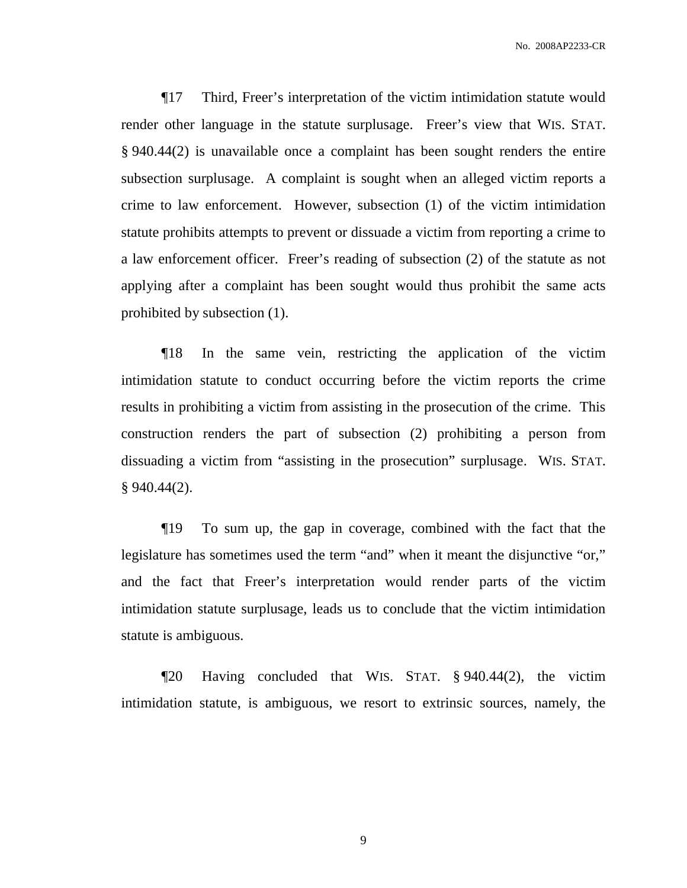¶17 Third, Freer's interpretation of the victim intimidation statute would render other language in the statute surplusage. Freer's view that WIS. STAT. § 940.44(2) is unavailable once a complaint has been sought renders the entire subsection surplusage. A complaint is sought when an alleged victim reports a crime to law enforcement. However, subsection (1) of the victim intimidation statute prohibits attempts to prevent or dissuade a victim from reporting a crime to a law enforcement officer. Freer's reading of subsection (2) of the statute as not applying after a complaint has been sought would thus prohibit the same acts prohibited by subsection (1).

¶18 In the same vein, restricting the application of the victim intimidation statute to conduct occurring before the victim reports the crime results in prohibiting a victim from assisting in the prosecution of the crime. This construction renders the part of subsection (2) prohibiting a person from dissuading a victim from "assisting in the prosecution" surplusage. WIS. STAT.  $§$  940.44(2).

¶19 To sum up, the gap in coverage, combined with the fact that the legislature has sometimes used the term "and" when it meant the disjunctive "or," and the fact that Freer's interpretation would render parts of the victim intimidation statute surplusage, leads us to conclude that the victim intimidation statute is ambiguous.

¶20 Having concluded that WIS. STAT. § 940.44(2), the victim intimidation statute, is ambiguous, we resort to extrinsic sources, namely, the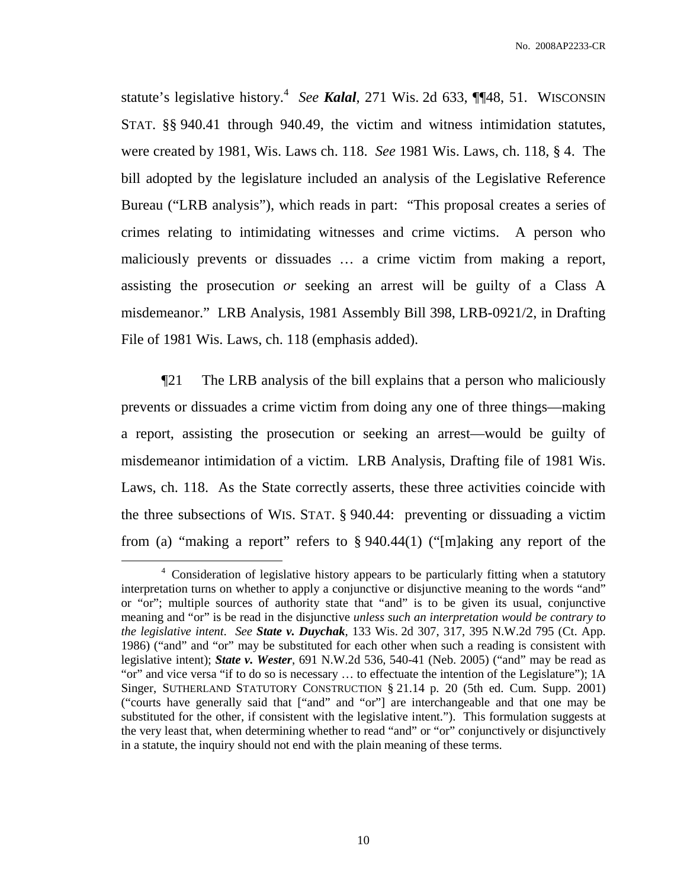statute's legislative history. 4 *See Kalal*, 271 Wis. 2d 633, ¶¶48, 51. WISCONSIN STAT. §§ 940.41 through 940.49, the victim and witness intimidation statutes, were created by 1981, Wis. Laws ch. 118. *See* 1981 Wis. Laws, ch. 118, § 4. The bill adopted by the legislature included an analysis of the Legislative Reference Bureau ("LRB analysis"), which reads in part: "This proposal creates a series of crimes relating to intimidating witnesses and crime victims. A person who maliciously prevents or dissuades … a crime victim from making a report, assisting the prosecution *or* seeking an arrest will be guilty of a Class A misdemeanor." LRB Analysis, 1981 Assembly Bill 398, LRB-0921/2, in Drafting File of 1981 Wis. Laws, ch. 118 (emphasis added).

¶21 The LRB analysis of the bill explains that a person who maliciously prevents or dissuades a crime victim from doing any one of three things—making a report, assisting the prosecution or seeking an arrest—would be guilty of misdemeanor intimidation of a victim. LRB Analysis, Drafting file of 1981 Wis. Laws, ch. 118. As the State correctly asserts, these three activities coincide with the three subsections of WIS. STAT. § 940.44: preventing or dissuading a victim from (a) "making a report" refers to § 940.44(1) ("[m]aking any report of the

 $4$  Consideration of legislative history appears to be particularly fitting when a statutory interpretation turns on whether to apply a conjunctive or disjunctive meaning to the words "and" or "or"; multiple sources of authority state that "and" is to be given its usual, conjunctive meaning and "or" is be read in the disjunctive *unless such an interpretation would be contrary to the legislative intent*. *See State v. Duychak*, 133 Wis. 2d 307, 317, 395 N.W.2d 795 (Ct. App. 1986) ("and" and "or" may be substituted for each other when such a reading is consistent with legislative intent); *State v. Wester*, 691 N.W.2d 536, 540-41 (Neb. 2005) ("and" may be read as "or" and vice versa "if to do so is necessary … to effectuate the intention of the Legislature"); 1A Singer, SUTHERLAND STATUTORY CONSTRUCTION § 21.14 p. 20 (5th ed. Cum. Supp. 2001) ("courts have generally said that ["and" and "or"] are interchangeable and that one may be substituted for the other, if consistent with the legislative intent."). This formulation suggests at the very least that, when determining whether to read "and" or "or" conjunctively or disjunctively in a statute, the inquiry should not end with the plain meaning of these terms.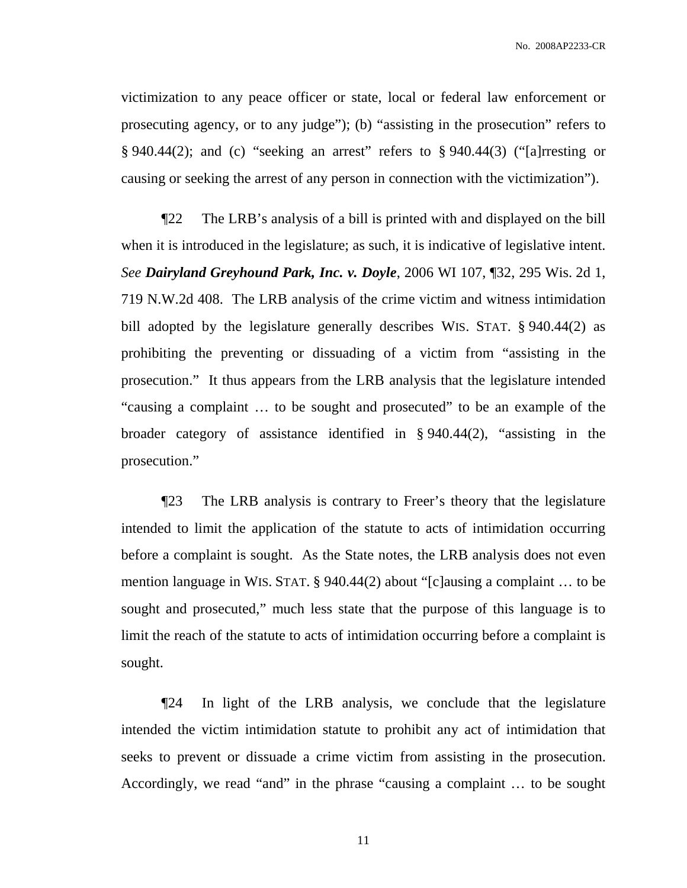victimization to any peace officer or state, local or federal law enforcement or prosecuting agency, or to any judge"); (b) "assisting in the prosecution" refers to  $\S 940.44(2)$ ; and (c) "seeking an arrest" refers to  $\S 940.44(3)$  ("[a]rresting or causing or seeking the arrest of any person in connection with the victimization").

¶22 The LRB's analysis of a bill is printed with and displayed on the bill when it is introduced in the legislature; as such, it is indicative of legislative intent. *See Dairyland Greyhound Park, Inc. v. Doyle*, 2006 WI 107, ¶32, 295 Wis. 2d 1, 719 N.W.2d 408. The LRB analysis of the crime victim and witness intimidation bill adopted by the legislature generally describes WIS. STAT. § 940.44(2) as prohibiting the preventing or dissuading of a victim from "assisting in the prosecution." It thus appears from the LRB analysis that the legislature intended "causing a complaint … to be sought and prosecuted" to be an example of the broader category of assistance identified in § 940.44(2), "assisting in the prosecution."

¶23 The LRB analysis is contrary to Freer's theory that the legislature intended to limit the application of the statute to acts of intimidation occurring before a complaint is sought. As the State notes, the LRB analysis does not even mention language in WIS. STAT. § 940.44(2) about "[c]ausing a complaint … to be sought and prosecuted," much less state that the purpose of this language is to limit the reach of the statute to acts of intimidation occurring before a complaint is sought.

¶24 In light of the LRB analysis, we conclude that the legislature intended the victim intimidation statute to prohibit any act of intimidation that seeks to prevent or dissuade a crime victim from assisting in the prosecution. Accordingly, we read "and" in the phrase "causing a complaint … to be sought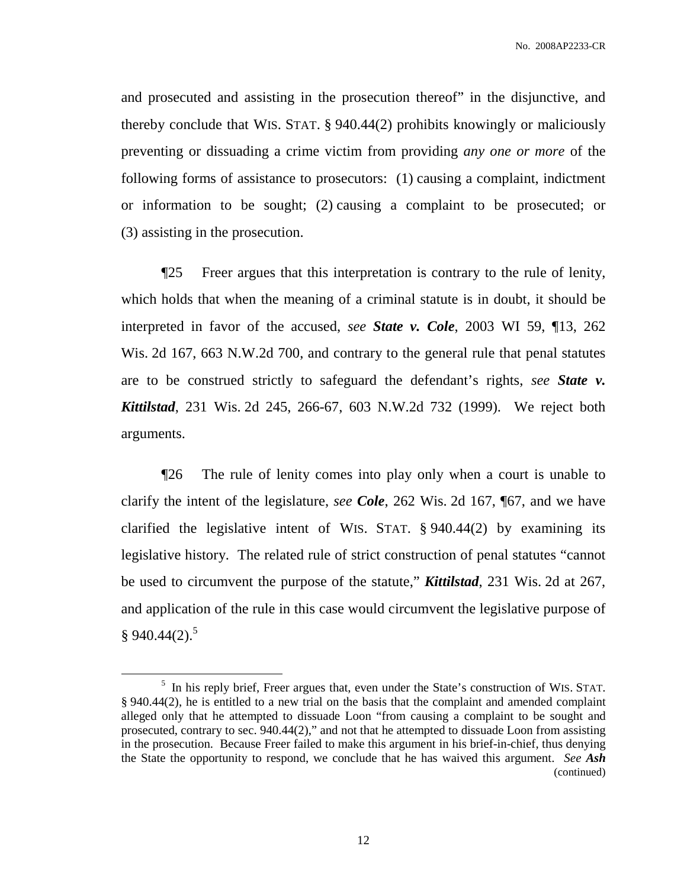and prosecuted and assisting in the prosecution thereof" in the disjunctive, and thereby conclude that WIS. STAT. § 940.44(2) prohibits knowingly or maliciously preventing or dissuading a crime victim from providing *any one or more* of the following forms of assistance to prosecutors: (1) causing a complaint, indictment or information to be sought; (2) causing a complaint to be prosecuted; or (3) assisting in the prosecution.

¶25 Freer argues that this interpretation is contrary to the rule of lenity, which holds that when the meaning of a criminal statute is in doubt, it should be interpreted in favor of the accused, *see State v. Cole*, 2003 WI 59, ¶13, 262 Wis. 2d 167, 663 N.W.2d 700, and contrary to the general rule that penal statutes are to be construed strictly to safeguard the defendant's rights, *see State v. Kittilstad*, 231 Wis. 2d 245, 266-67, 603 N.W.2d 732 (1999). We reject both arguments.

¶26 The rule of lenity comes into play only when a court is unable to clarify the intent of the legislature, *see Cole*, 262 Wis. 2d 167, ¶67, and we have clarified the legislative intent of WIS. STAT. § 940.44(2) by examining its legislative history. The related rule of strict construction of penal statutes "cannot be used to circumvent the purpose of the statute," *Kittilstad*, 231 Wis. 2d at 267, and application of the rule in this case would circumvent the legislative purpose of  $§ 940.44(2).$ <sup>5</sup>

<sup>&</sup>lt;sup>5</sup> In his reply brief, Freer argues that, even under the State's construction of WIS. STAT. § 940.44(2), he is entitled to a new trial on the basis that the complaint and amended complaint alleged only that he attempted to dissuade Loon "from causing a complaint to be sought and prosecuted, contrary to sec.  $940.44(2)$ ," and not that he attempted to dissuade Loon from assisting in the prosecution. Because Freer failed to make this argument in his brief-in-chief, thus denying the State the opportunity to respond, we conclude that he has waived this argument. *See Ash* (continued)